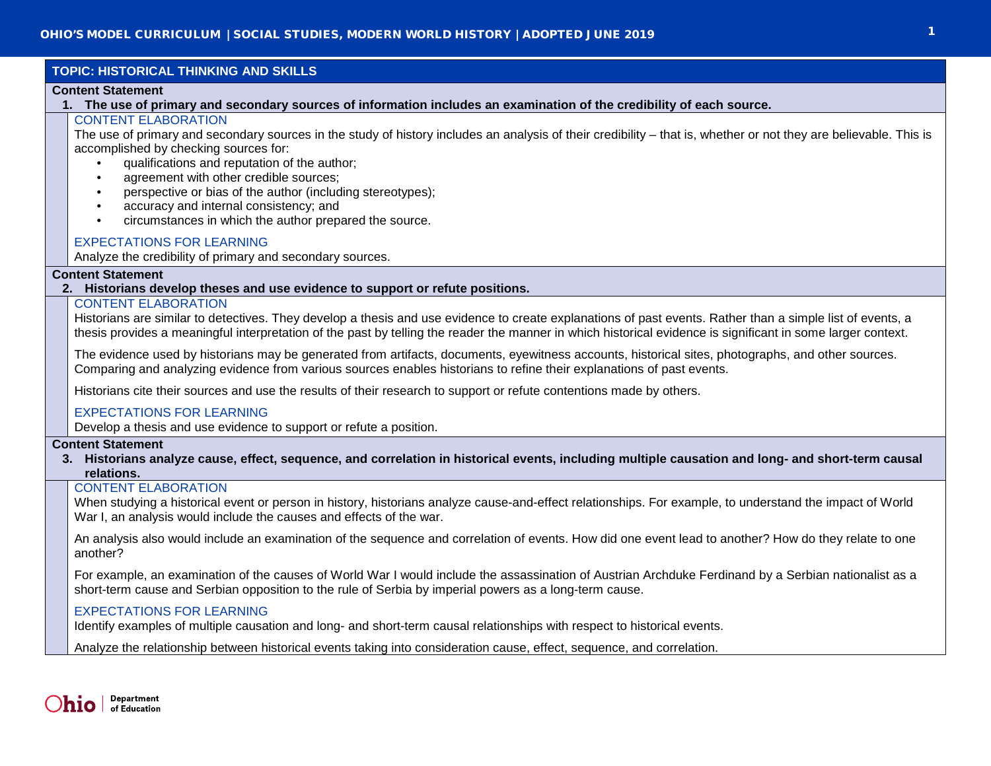### **TOPIC: HISTORICAL THINKING AND SKILLS**

#### **Content Statement**

**1. The use of primary and secondary sources of information includes an examination of the credibility of each source.**

# CONTENT ELABORATION

The use of primary and secondary sources in the study of history includes an analysis of their credibility – that is, whether or not they are believable. This is accomplished by checking sources for:

- qualifications and reputation of the author;
- agreement with other credible sources;
- perspective or bias of the author (including stereotypes);
- accuracy and internal consistency; and
- circumstances in which the author prepared the source.

### EXPECTATIONS FOR LEARNING

Analyze the credibility of primary and secondary sources.

### **Content Statement**

### **2. Historians develop theses and use evidence to support or refute positions.**

### CONTENT ELABORATION

Historians are similar to detectives. They develop a thesis and use evidence to create explanations of past events. Rather than a simple list of events, a thesis provides a meaningful interpretation of the past by telling the reader the manner in which historical evidence is significant in some larger context.

The evidence used by historians may be generated from artifacts, documents, eyewitness accounts, historical sites, photographs, and other sources. Comparing and analyzing evidence from various sources enables historians to refine their explanations of past events.

Historians cite their sources and use the results of their research to support or refute contentions made by others.

### EXPECTATIONS FOR LEARNING

Develop a thesis and use evidence to support or refute a position.

### **Content Statement**

**3. Historians analyze cause, effect, sequence, and correlation in historical events, including multiple causation and long- and short-term causal relations.**

### CONTENT ELABORATION

When studying a historical event or person in history, historians analyze cause-and-effect relationships. For example, to understand the impact of World War I, an analysis would include the causes and effects of the war.

An analysis also would include an examination of the sequence and correlation of events. How did one event lead to another? How do they relate to one another?

For example, an examination of the causes of World War I would include the assassination of Austrian Archduke Ferdinand by a Serbian nationalist as a short-term cause and Serbian opposition to the rule of Serbia by imperial powers as a long-term cause.

### EXPECTATIONS FOR LEARNING

Identify examples of multiple causation and long- and short-term causal relationships with respect to historical events.

Analyze the relationship between historical events taking into consideration cause, effect, sequence, and correlation.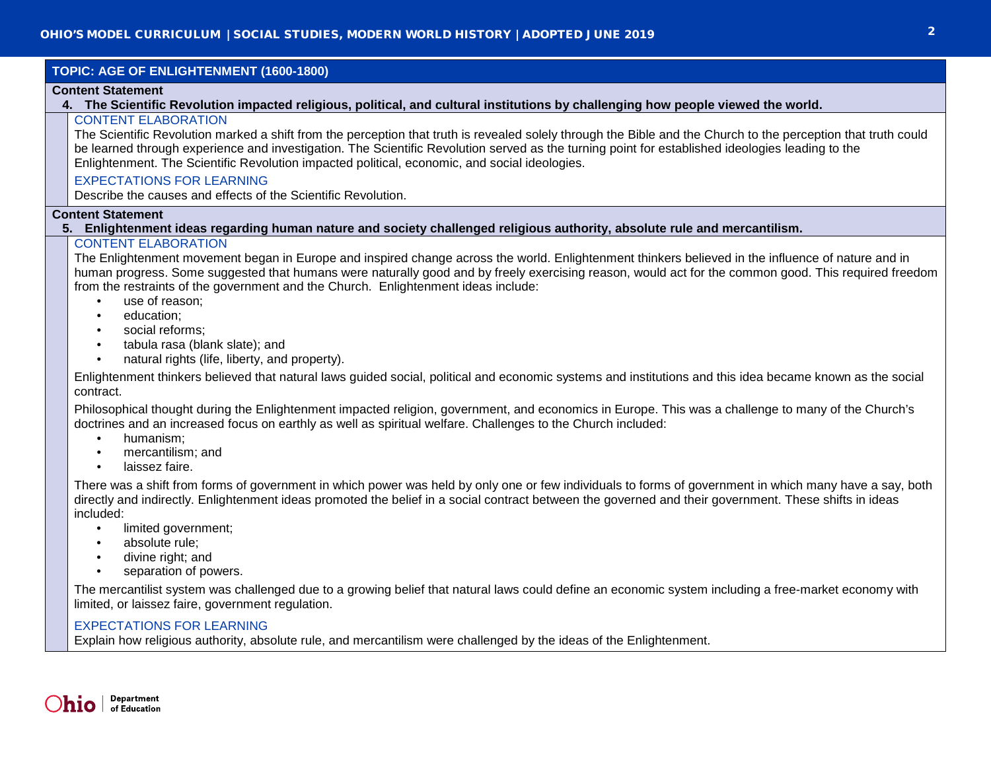### **TOPIC: AGE OF ENLIGHTENMENT (1600-1800)**

#### **Content Statement**

#### **4. The Scientific Revolution impacted religious, political, and cultural institutions by challenging how people viewed the world.**

### CONTENT ELABORATION

The Scientific Revolution marked a shift from the perception that truth is revealed solely through the Bible and the Church to the perception that truth could be learned through experience and investigation. The Scientific Revolution served as the turning point for established ideologies leading to the Enlightenment. The Scientific Revolution impacted political, economic, and social ideologies.

### EXPECTATIONS FOR LEARNING

Describe the causes and effects of the Scientific Revolution.

### **Content Statement**

### **5. Enlightenment ideas regarding human nature and society challenged religious authority, absolute rule and mercantilism.**

### CONTENT ELABORATION

The Enlightenment movement began in Europe and inspired change across the world. Enlightenment thinkers believed in the influence of nature and in human progress. Some suggested that humans were naturally good and by freely exercising reason, would act for the common good. This required freedom from the restraints of the government and the Church. Enlightenment ideas include:

- use of reason;
- education;
- social reforms;
- tabula rasa (blank slate); and
- natural rights (life, liberty, and property).

Enlightenment thinkers believed that natural laws guided social, political and economic systems and institutions and this idea became known as the social contract.

Philosophical thought during the Enlightenment impacted religion, government, and economics in Europe. This was a challenge to many of the Church's doctrines and an increased focus on earthly as well as spiritual welfare. Challenges to the Church included:

- humanism;
- mercantilism; and
- laissez faire.

There was a shift from forms of government in which power was held by only one or few individuals to forms of government in which many have a say, both directly and indirectly. Enlightenment ideas promoted the belief in a social contract between the governed and their government. These shifts in ideas included:

- limited government;
- absolute rule;
- divine right; and
- separation of powers.

The mercantilist system was challenged due to a growing belief that natural laws could define an economic system including a free-market economy with limited, or laissez faire, government regulation.

### EXPECTATIONS FOR LEARNING

Explain how religious authority, absolute rule, and mercantilism were challenged by the ideas of the Enlightenment.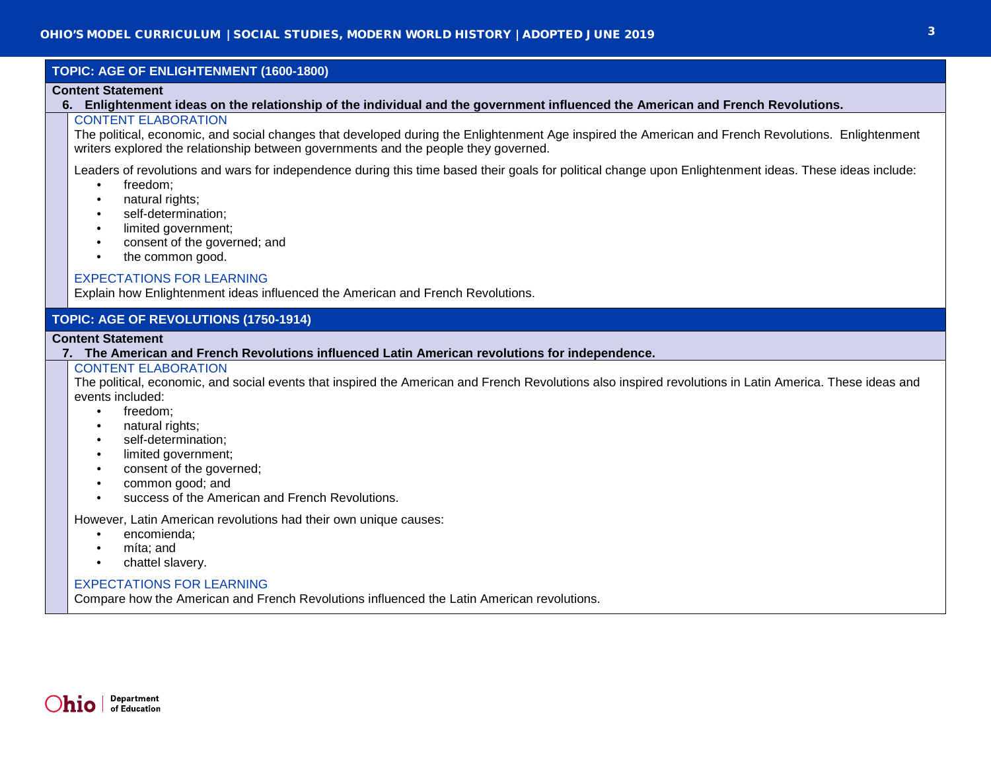### **TOPIC: AGE OF ENLIGHTENMENT (1600-1800)**

### **Content Statement**

**6. Enlightenment ideas on the relationship of the individual and the government influenced the American and French Revolutions.**

### CONTENT ELABORATION

The political, economic, and social changes that developed during the Enlightenment Age inspired the American and French Revolutions. Enlightenment writers explored the relationship between governments and the people they governed.

Leaders of revolutions and wars for independence during this time based their goals for political change upon Enlightenment ideas. These ideas include:

- freedom;
- natural rights;
- self-determination;
- limited government;
- consent of the governed; and
- the common good.

### EXPECTATIONS FOR LEARNING

Explain how Enlightenment ideas influenced the American and French Revolutions.

## **TOPIC: AGE OF REVOLUTIONS (1750-1914)**

#### **Content Statement**

**7. The American and French Revolutions influenced Latin American revolutions for independence.**

#### CONTENT ELABORATION

The political, economic, and social events that inspired the American and French Revolutions also inspired revolutions in Latin America. These ideas and events included:

- freedom;
- natural rights:
- self-determination;
- limited government;
- consent of the governed;
- common good; and
- success of the American and French Revolutions.

However, Latin American revolutions had their own unique causes:

- encomienda;
- míta; and
- chattel slavery.

### EXPECTATIONS FOR LEARNING

Compare how the American and French Revolutions influenced the Latin American revolutions.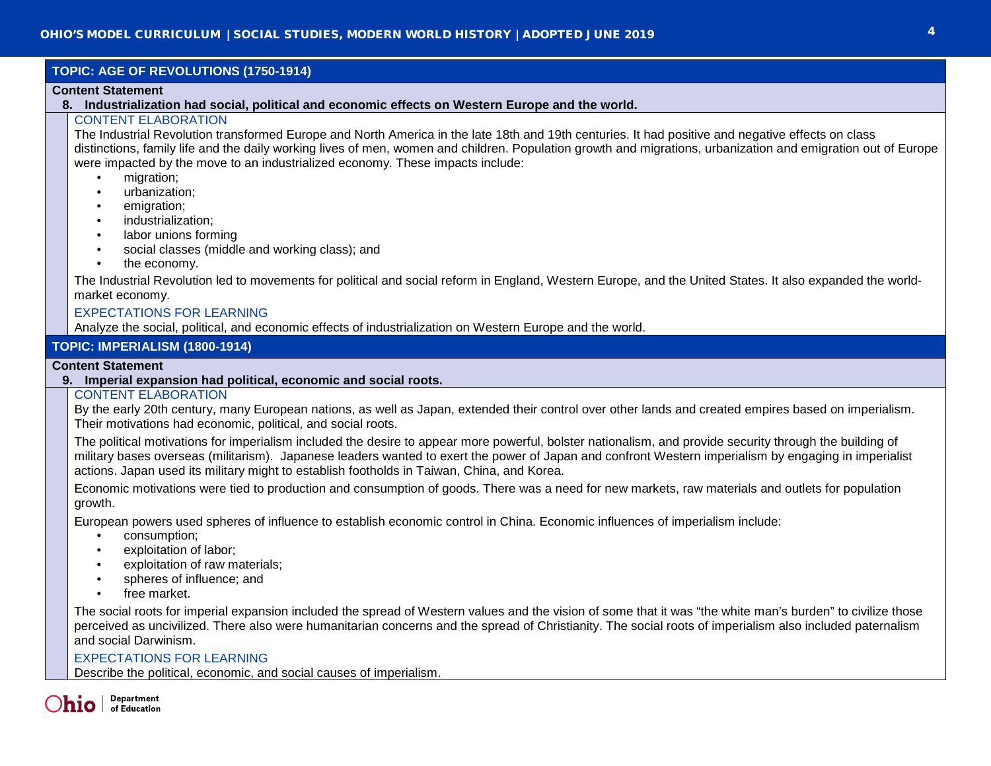# **TOPIC: AGE OF REVOLUTIONS (1750-1914)**

#### **Content Statement**

**8. Industrialization had social, political and economic effects on Western Europe and the world.**

# CONTENT ELABORATION

The Industrial Revolution transformed Europe and North America in the late 18th and 19th centuries. It had positive and negative effects on class distinctions, family life and the daily working lives of men, women and children. Population growth and migrations, urbanization and emigration out of Europe were impacted by the move to an industrialized economy. These impacts include:

- migration;
- urbanization;
- emigration;
- industrialization:
- labor unions forming
- social classes (middle and working class); and
- the economy.

The Industrial Revolution led to movements for political and social reform in England, Western Europe, and the United States. It also expanded the worldmarket economy.

### EXPECTATIONS FOR LEARNING

Analyze the social, political, and economic effects of industrialization on Western Europe and the world.

### **TOPIC: IMPERIALISM (1800-1914)**

#### **Content Statement**

#### **9. Imperial expansion had political, economic and social roots.**

#### CONTENT ELABORATION

By the early 20th century, many European nations, as well as Japan, extended their control over other lands and created empires based on imperialism. Their motivations had economic, political, and social roots.

The political motivations for imperialism included the desire to appear more powerful, bolster nationalism, and provide security through the building of military bases overseas (militarism). Japanese leaders wanted to exert the power of Japan and confront Western imperialism by engaging in imperialist actions. Japan used its military might to establish footholds in Taiwan, China, and Korea.

Economic motivations were tied to production and consumption of goods. There was a need for new markets, raw materials and outlets for population growth.

European powers used spheres of influence to establish economic control in China. Economic influences of imperialism include:

- consumption;
- exploitation of labor;
- exploitation of raw materials:
- spheres of influence; and
- free market.

The social roots for imperial expansion included the spread of Western values and the vision of some that it was "the white man's burden" to civilize those perceived as uncivilized. There also were humanitarian concerns and the spread of Christianity. The social roots of imperialism also included paternalism and social Darwinism.

### EXPECTATIONS FOR LEARNING

Describe the political, economic, and social causes of imperialism.

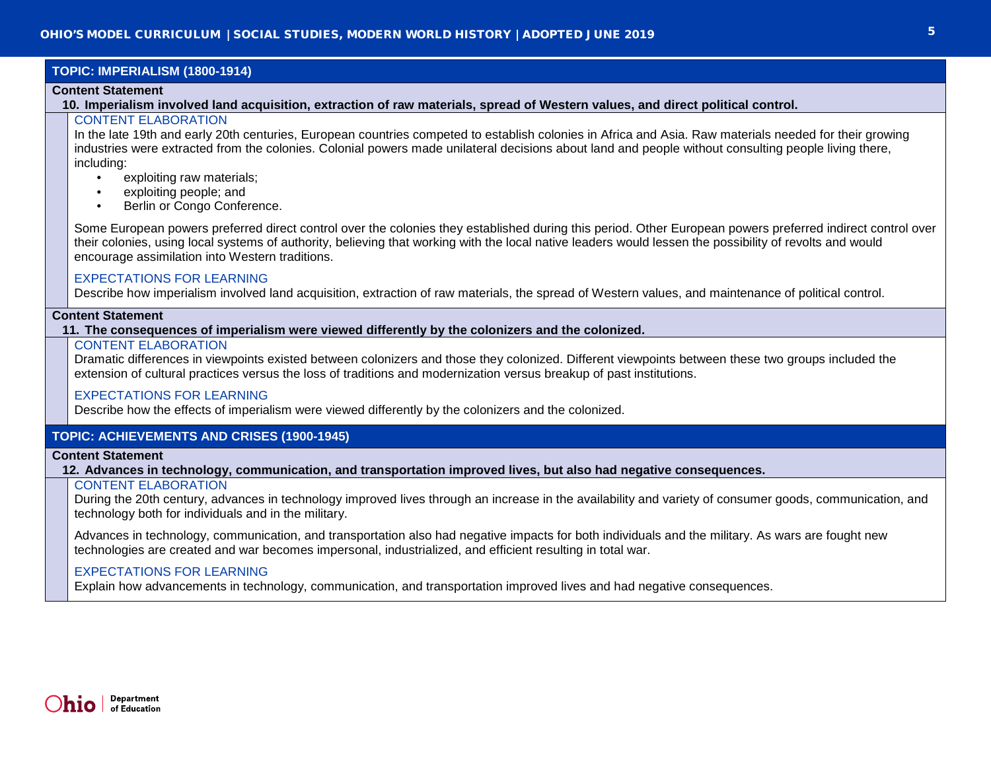### **TOPIC: IMPERIALISM (1800-1914)**

#### **Content Statement**

**10. Imperialism involved land acquisition, extraction of raw materials, spread of Western values, and direct political control.**

### CONTENT ELABORATION

In the late 19th and early 20th centuries, European countries competed to establish colonies in Africa and Asia. Raw materials needed for their growing industries were extracted from the colonies. Colonial powers made unilateral decisions about land and people without consulting people living there, including:

- exploiting raw materials;
- exploiting people; and
- Berlin or Congo Conference.

Some European powers preferred direct control over the colonies they established during this period. Other European powers preferred indirect control over their colonies, using local systems of authority, believing that working with the local native leaders would lessen the possibility of revolts and would encourage assimilation into Western traditions.

### EXPECTATIONS FOR LEARNING

Describe how imperialism involved land acquisition, extraction of raw materials, the spread of Western values, and maintenance of political control.

### **Content Statement**

#### **11. The consequences of imperialism were viewed differently by the colonizers and the colonized.**

#### CONTENT ELABORATION

Dramatic differences in viewpoints existed between colonizers and those they colonized. Different viewpoints between these two groups included the extension of cultural practices versus the loss of traditions and modernization versus breakup of past institutions.

### EXPECTATIONS FOR LEARNING

Describe how the effects of imperialism were viewed differently by the colonizers and the colonized.

### **TOPIC: ACHIEVEMENTS AND CRISES (1900-1945)**

#### **Content Statement**

**12. Advances in technology, communication, and transportation improved lives, but also had negative consequences.**

### CONTENT ELABORATION

During the 20th century, advances in technology improved lives through an increase in the availability and variety of consumer goods, communication, and technology both for individuals and in the military.

Advances in technology, communication, and transportation also had negative impacts for both individuals and the military. As wars are fought new technologies are created and war becomes impersonal, industrialized, and efficient resulting in total war.

### EXPECTATIONS FOR LEARNING

Explain how advancements in technology, communication, and transportation improved lives and had negative consequences.

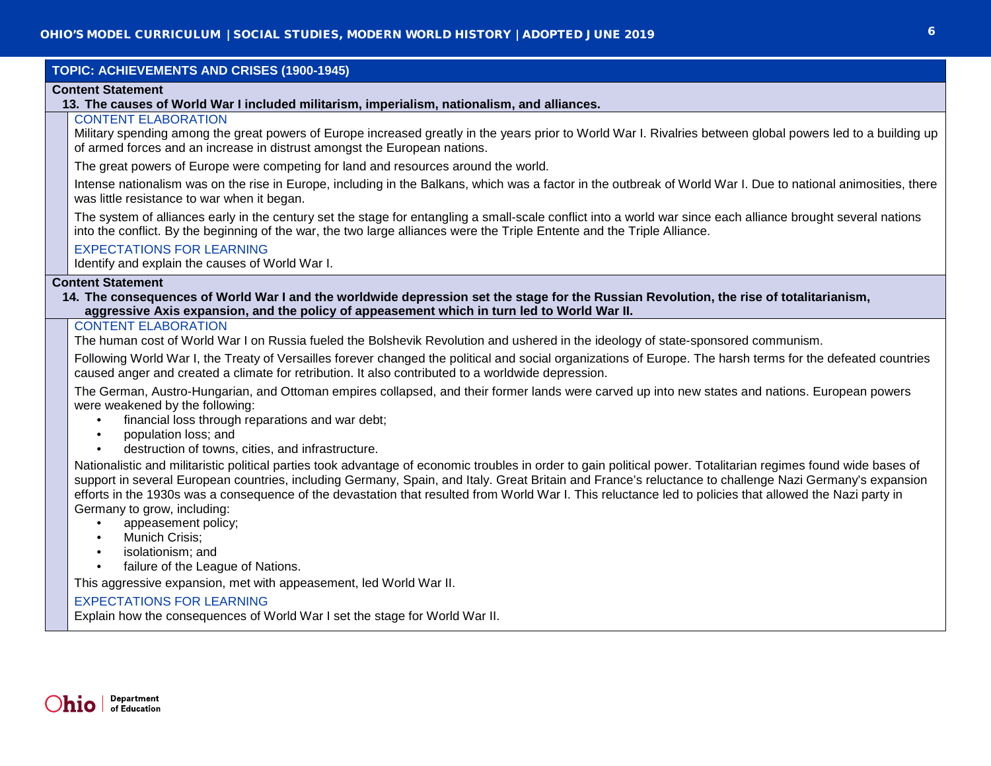## **TOPIC: ACHIEVEMENTS AND CRISES (1900-1945)**

#### **Content Statement**

### **13. The causes of World War I included militarism, imperialism, nationalism, and alliances.**

### CONTENT ELABORATION

Military spending among the great powers of Europe increased greatly in the years prior to World War I. Rivalries between global powers led to a building up of armed forces and an increase in distrust amongst the European nations.

The great powers of Europe were competing for land and resources around the world.

Intense nationalism was on the rise in Europe, including in the Balkans, which was a factor in the outbreak of World War I. Due to national animosities, there was little resistance to war when it began.

The system of alliances early in the century set the stage for entangling a small-scale conflict into a world war since each alliance brought several nations into the conflict. By the beginning of the war, the two large alliances were the Triple Entente and the Triple Alliance.

### EXPECTATIONS FOR LEARNING

Identify and explain the causes of World War I.

#### **Content Statement**

**14. The consequences of World War I and the worldwide depression set the stage for the Russian Revolution, the rise of totalitarianism, aggressive Axis expansion, and the policy of appeasement which in turn led to World War II.**

### CONTENT ELABORATION

The human cost of World War I on Russia fueled the Bolshevik Revolution and ushered in the ideology of state-sponsored communism.

Following World War I, the Treaty of Versailles forever changed the political and social organizations of Europe. The harsh terms for the defeated countries caused anger and created a climate for retribution. It also contributed to a worldwide depression.

The German, Austro-Hungarian, and Ottoman empires collapsed, and their former lands were carved up into new states and nations. European powers were weakened by the following:

- financial loss through reparations and war debt;
- population loss; and
- destruction of towns, cities, and infrastructure.

Nationalistic and militaristic political parties took advantage of economic troubles in order to gain political power. Totalitarian regimes found wide bases of support in several European countries, including Germany, Spain, and Italy. Great Britain and France's reluctance to challenge Nazi Germany's expansion efforts in the 1930s was a consequence of the devastation that resulted from World War I. This reluctance led to policies that allowed the Nazi party in Germany to grow, including:

- appeasement policy;
- Munich Crisis;
- isolationism; and
- failure of the League of Nations.

This aggressive expansion, met with appeasement, led World War II.

### EXPECTATIONS FOR LEARNING

Explain how the consequences of World War I set the stage for World War II.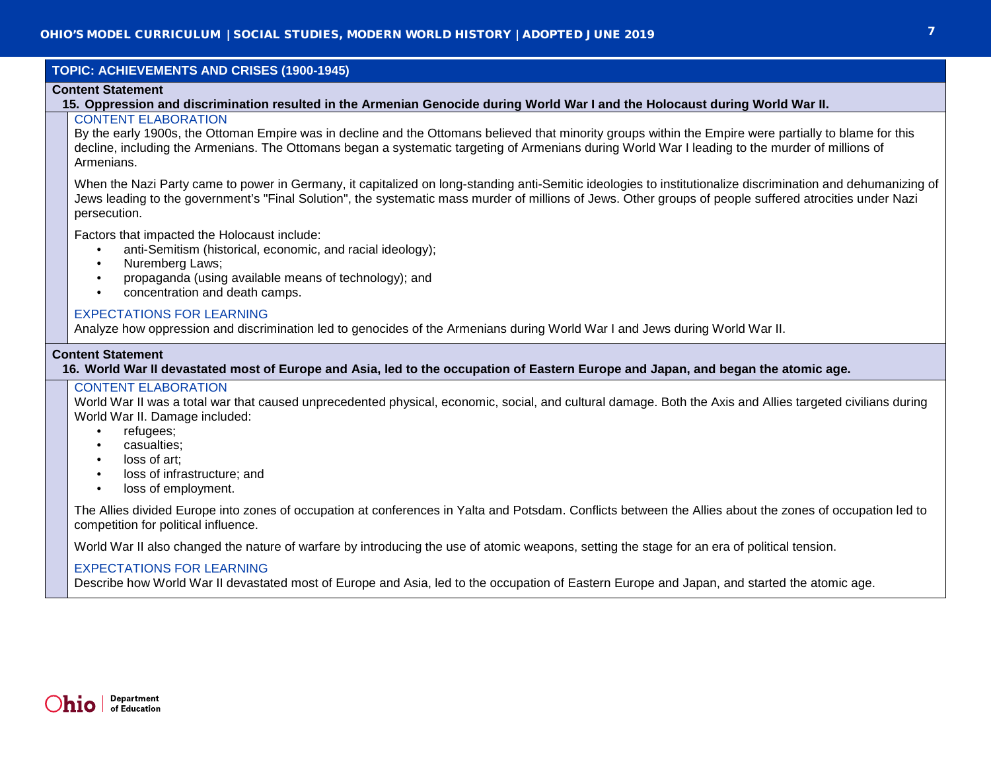### **TOPIC: ACHIEVEMENTS AND CRISES (1900-1945)**

#### **Content Statement**

### **15. Oppression and discrimination resulted in the Armenian Genocide during World War I and the Holocaust during World War II.**

### CONTENT ELABORATION

By the early 1900s, the Ottoman Empire was in decline and the Ottomans believed that minority groups within the Empire were partially to blame for this decline, including the Armenians. The Ottomans began a systematic targeting of Armenians during World War I leading to the murder of millions of Armenians.

When the Nazi Party came to power in Germany, it capitalized on long-standing anti-Semitic ideologies to institutionalize discrimination and dehumanizing of Jews leading to the government's "Final Solution", the systematic mass murder of millions of Jews. Other groups of people suffered atrocities under Nazi persecution.

Factors that impacted the Holocaust include:

- anti-Semitism (historical, economic, and racial ideology);
- Nuremberg Laws:
- propaganda (using available means of technology); and
- concentration and death camps.

#### EXPECTATIONS FOR LEARNING

Analyze how oppression and discrimination led to genocides of the Armenians during World War I and Jews during World War II.

#### **Content Statement**

**16. World War II devastated most of Europe and Asia, led to the occupation of Eastern Europe and Japan, and began the atomic age.**

#### CONTENT ELABORATION

World War II was a total war that caused unprecedented physical, economic, social, and cultural damage. Both the Axis and Allies targeted civilians during World War II. Damage included:

- refugees;
- casualties;
- loss of art;
- loss of infrastructure; and
- loss of employment.

The Allies divided Europe into zones of occupation at conferences in Yalta and Potsdam. Conflicts between the Allies about the zones of occupation led to competition for political influence.

World War II also changed the nature of warfare by introducing the use of atomic weapons, setting the stage for an era of political tension.

### EXPECTATIONS FOR LEARNING

Describe how World War II devastated most of Europe and Asia, led to the occupation of Eastern Europe and Japan, and started the atomic age.

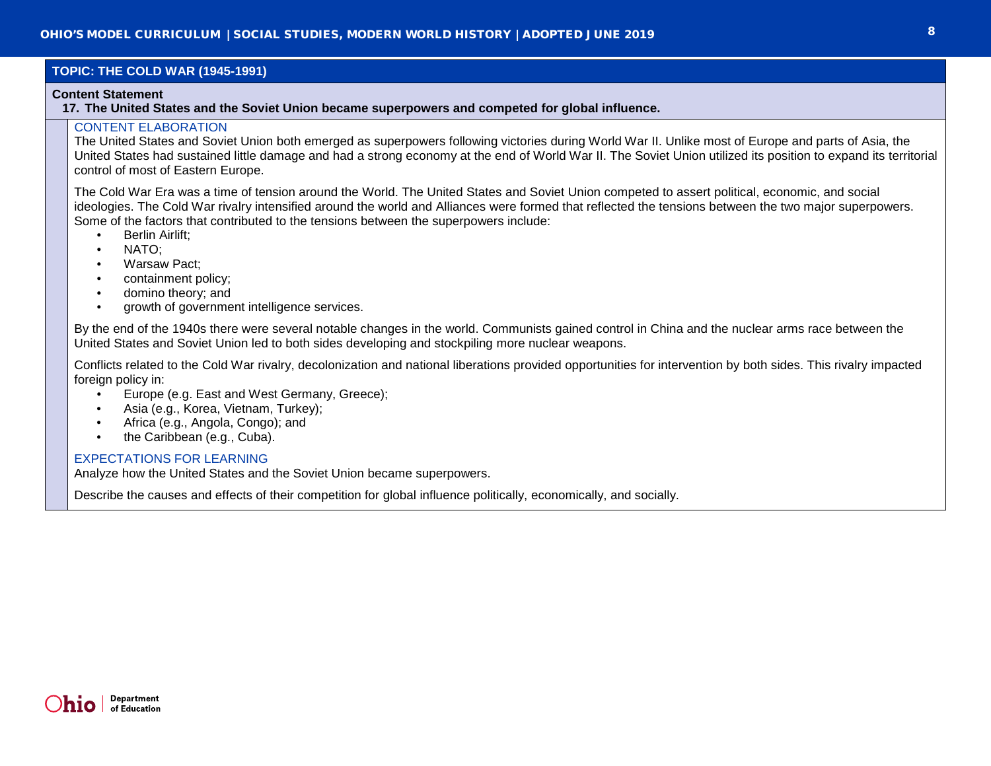### **TOPIC: THE COLD WAR (1945-1991)**

#### **Content Statement**

**17. The United States and the Soviet Union became superpowers and competed for global influence.**

### CONTENT ELABORATION

The United States and Soviet Union both emerged as superpowers following victories during World War II. Unlike most of Europe and parts of Asia, the United States had sustained little damage and had a strong economy at the end of World War II. The Soviet Union utilized its position to expand its territorial control of most of Eastern Europe.

The Cold War Era was a time of tension around the World. The United States and Soviet Union competed to assert political, economic, and social ideologies. The Cold War rivalry intensified around the world and Alliances were formed that reflected the tensions between the two major superpowers. Some of the factors that contributed to the tensions between the superpowers include:

- Berlin Airlift;
- NATO;
- Warsaw Pact;
- containment policy;
- domino theory; and
- growth of government intelligence services.

By the end of the 1940s there were several notable changes in the world. Communists gained control in China and the nuclear arms race between the United States and Soviet Union led to both sides developing and stockpiling more nuclear weapons.

Conflicts related to the Cold War rivalry, decolonization and national liberations provided opportunities for intervention by both sides. This rivalry impacted foreign policy in:

- Europe (e.g. East and West Germany, Greece);
- Asia (e.g., Korea, Vietnam, Turkey);
- Africa (e.g., Angola, Congo); and
- the Caribbean (e.g., Cuba).

### EXPECTATIONS FOR LEARNING

Analyze how the United States and the Soviet Union became superpowers.

Describe the causes and effects of their competition for global influence politically, economically, and socially.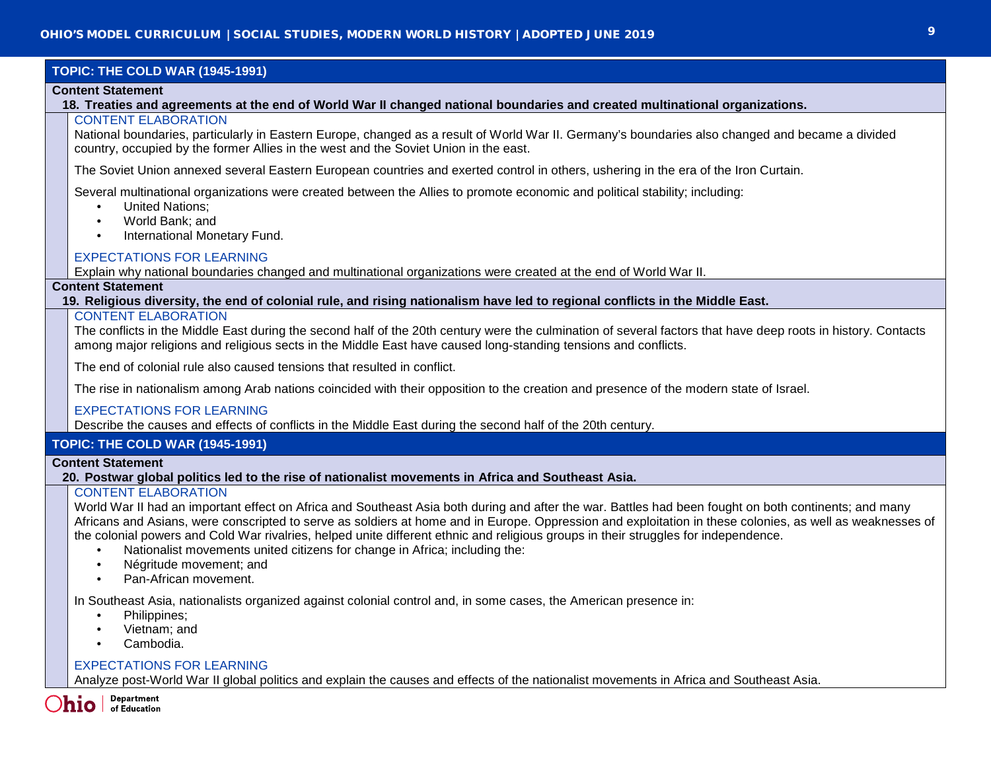# **TOPIC: THE COLD WAR (1945-1991)**

#### **Content Statement**

**18. Treaties and agreements at the end of World War II changed national boundaries and created multinational organizations.**

### CONTENT ELABORATION

National boundaries, particularly in Eastern Europe, changed as a result of World War II. Germany's boundaries also changed and became a divided country, occupied by the former Allies in the west and the Soviet Union in the east.

The Soviet Union annexed several Eastern European countries and exerted control in others, ushering in the era of the Iron Curtain.

Several multinational organizations were created between the Allies to promote economic and political stability; including:

- United Nations;
- World Bank; and
- International Monetary Fund.

### EXPECTATIONS FOR LEARNING

Explain why national boundaries changed and multinational organizations were created at the end of World War II.

### **Content Statement**

**19. Religious diversity, the end of colonial rule, and rising nationalism have led to regional conflicts in the Middle East.**

### CONTENT ELABORATION

The conflicts in the Middle East during the second half of the 20th century were the culmination of several factors that have deep roots in history. Contacts among major religions and religious sects in the Middle East have caused long-standing tensions and conflicts.

The end of colonial rule also caused tensions that resulted in conflict.

The rise in nationalism among Arab nations coincided with their opposition to the creation and presence of the modern state of Israel.

### EXPECTATIONS FOR LEARNING

Describe the causes and effects of conflicts in the Middle East during the second half of the 20th century.

## **TOPIC: THE COLD WAR (1945-1991)**

### **Content Statement**

### **20. Postwar global politics led to the rise of nationalist movements in Africa and Southeast Asia.**

## CONTENT ELABORATION

World War II had an important effect on Africa and Southeast Asia both during and after the war. Battles had been fought on both continents; and many Africans and Asians, were conscripted to serve as soldiers at home and in Europe. Oppression and exploitation in these colonies, as well as weaknesses of the colonial powers and Cold War rivalries, helped unite different ethnic and religious groups in their struggles for independence.

- Nationalist movements united citizens for change in Africa; including the:
- Négritude movement; and
- Pan-African movement.

In Southeast Asia, nationalists organized against colonial control and, in some cases, the American presence in:

- Philippines;
- Vietnam; and
- Cambodia.

### EXPECTATIONS FOR LEARNING

Analyze post-World War II global politics and explain the causes and effects of the nationalist movements in Africa and Southeast Asia.

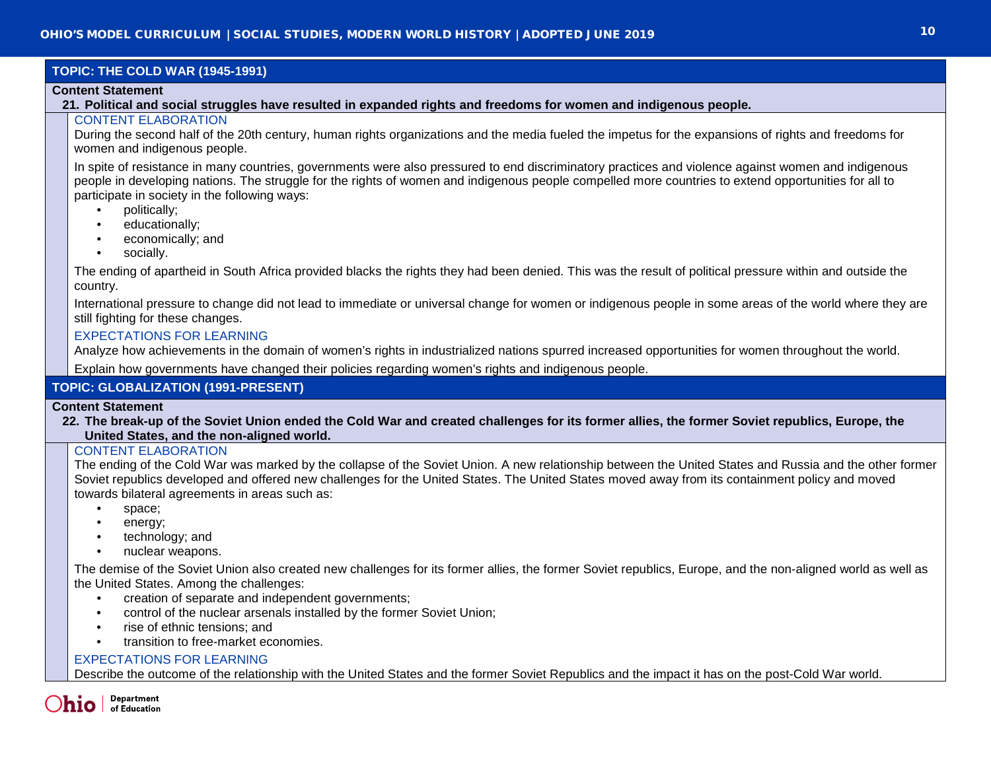# **TOPIC: THE COLD WAR (1945-1991)**

#### **Content Statement**

**21. Political and social struggles have resulted in expanded rights and freedoms for women and indigenous people.**

### CONTENT ELABORATION

During the second half of the 20th century, human rights organizations and the media fueled the impetus for the expansions of rights and freedoms for women and indigenous people.

In spite of resistance in many countries, governments were also pressured to end discriminatory practices and violence against women and indigenous people in developing nations. The struggle for the rights of women and indigenous people compelled more countries to extend opportunities for all to participate in society in the following ways:

- politically;
- educationally;
- economically; and
- socially.

The ending of apartheid in South Africa provided blacks the rights they had been denied. This was the result of political pressure within and outside the country.

International pressure to change did not lead to immediate or universal change for women or indigenous people in some areas of the world where they are still fighting for these changes.

### EXPECTATIONS FOR LEARNING

Analyze how achievements in the domain of women's rights in industrialized nations spurred increased opportunities for women throughout the world.

Explain how governments have changed their policies regarding women's rights and indigenous people.

## **TOPIC: GLOBALIZATION (1991-PRESENT)**

#### **Content Statement**

**22. The break-up of the Soviet Union ended the Cold War and created challenges for its former allies, the former Soviet republics, Europe, the United States, and the non-aligned world.**

### CONTENT ELABORATION

The ending of the Cold War was marked by the collapse of the Soviet Union. A new relationship between the United States and Russia and the other former Soviet republics developed and offered new challenges for the United States. The United States moved away from its containment policy and moved towards bilateral agreements in areas such as:

- space;
- energy;
- technology; and
- nuclear weapons.

The demise of the Soviet Union also created new challenges for its former allies, the former Soviet republics, Europe, and the non-aligned world as well as the United States. Among the challenges:

- creation of separate and independent governments;
- control of the nuclear arsenals installed by the former Soviet Union;
- rise of ethnic tensions: and
- transition to free-market economies.

### EXPECTATIONS FOR LEARNING

Describe the outcome of the relationship with the United States and the former Soviet Republics and the impact it has on the post-Cold War world.

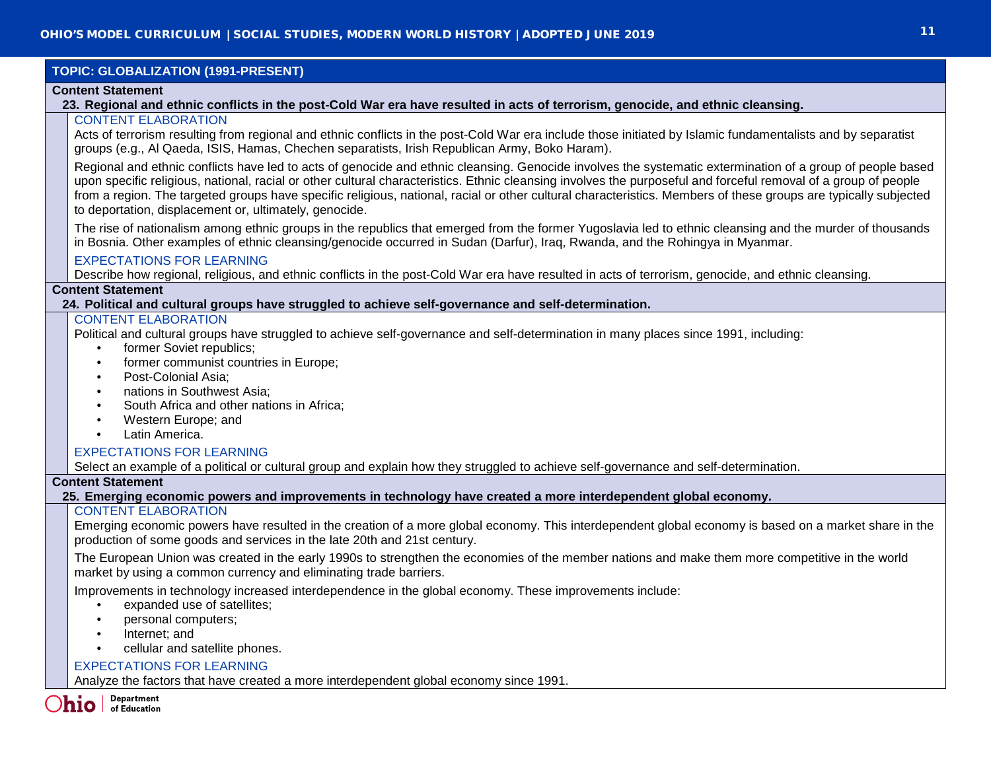### **TOPIC: GLOBALIZATION (1991-PRESENT)**

#### **Content Statement**

#### **23. Regional and ethnic conflicts in the post-Cold War era have resulted in acts of terrorism, genocide, and ethnic cleansing.**

### CONTENT ELABORATION

Acts of terrorism resulting from regional and ethnic conflicts in the post-Cold War era include those initiated by Islamic fundamentalists and by separatist groups (e.g., Al Qaeda, ISIS, Hamas, Chechen separatists, Irish Republican Army, Boko Haram).

Regional and ethnic conflicts have led to acts of genocide and ethnic cleansing. Genocide involves the systematic extermination of a group of people based upon specific religious, national, racial or other cultural characteristics. Ethnic cleansing involves the purposeful and forceful removal of a group of people from a region. The targeted groups have specific religious, national, racial or other cultural characteristics. Members of these groups are typically subjected to deportation, displacement or, ultimately, genocide.

The rise of nationalism among ethnic groups in the republics that emerged from the former Yugoslavia led to ethnic cleansing and the murder of thousands in Bosnia. Other examples of ethnic cleansing/genocide occurred in Sudan (Darfur), Iraq, Rwanda, and the Rohingya in Myanmar.

## EXPECTATIONS FOR LEARNING

Describe how regional, religious, and ethnic conflicts in the post-Cold War era have resulted in acts of terrorism, genocide, and ethnic cleansing.

### **Content Statement**

### **24. Political and cultural groups have struggled to achieve self-governance and self-determination.**

### CONTENT ELABORATION

Political and cultural groups have struggled to achieve self-governance and self-determination in many places since 1991, including:

- former Soviet republics:
- former communist countries in Europe;
- Post-Colonial Asia;
- nations in Southwest Asia:
- South Africa and other nations in Africa:
- Western Europe; and
- Latin America.

### EXPECTATIONS FOR LEARNING

Select an example of a political or cultural group and explain how they struggled to achieve self-governance and self-determination.

### **Content Statement**

#### **25. Emerging economic powers and improvements in technology have created a more interdependent global economy.**

#### CONTENT ELABORATION

Emerging economic powers have resulted in the creation of a more global economy. This interdependent global economy is based on a market share in the production of some goods and services in the late 20th and 21st century.

The European Union was created in the early 1990s to strengthen the economies of the member nations and make them more competitive in the world market by using a common currency and eliminating trade barriers.

Improvements in technology increased interdependence in the global economy. These improvements include:

- expanded use of satellites:
- personal computers;
- Internet; and
- cellular and satellite phones.

### EXPECTATIONS FOR LEARNING

Analyze the factors that have created a more interdependent global economy since 1991.



of Education